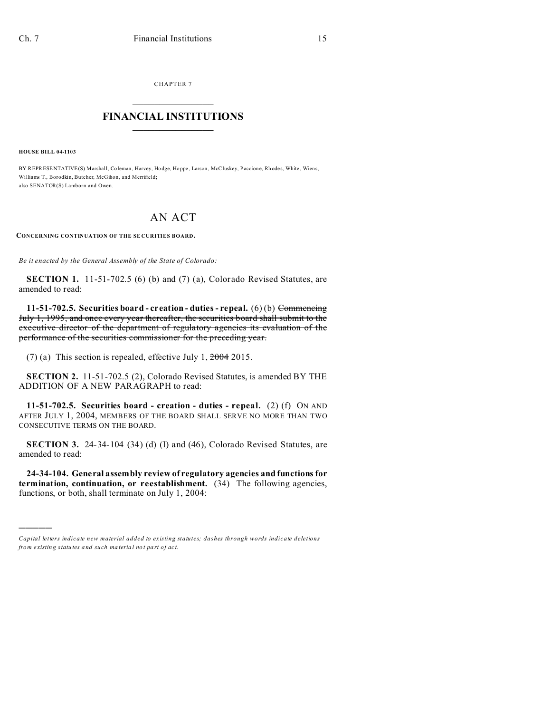CHAPTER 7  $\overline{\phantom{a}}$  , where  $\overline{\phantom{a}}$ 

## **FINANCIAL INSTITUTIONS**  $\frac{1}{2}$  ,  $\frac{1}{2}$  ,  $\frac{1}{2}$  ,  $\frac{1}{2}$  ,  $\frac{1}{2}$  ,  $\frac{1}{2}$  ,  $\frac{1}{2}$

**HOUSE BILL 04-1103**

)))))

BY REPRESENTATIVE(S) Marshall, Coleman, Harvey, Hodge, Hoppe, Larson, McCluskey, Paccione, Rhodes, White, Wiens, Williams T., Borodkin, Butcher, McGihon, and Merrifield; also SENATOR(S) Lamborn and Owen.

## AN ACT

**CONCERNING CONTINUATION OF THE SE CURITIES BOARD.**

*Be it enacted by the General Assembly of the State of Colorado:*

**SECTION 1.** 11-51-702.5 (6) (b) and (7) (a), Colorado Revised Statutes, are amended to read:

**11-51-702.5. Securities board - creation - duties - repeal.** (6) (b) Commencing July 1, 1995, and once every year thereafter, the securities board shall submit to the executive director of the department of regulatory agencies its evaluation of the performance of the securities commissioner for the preceding year.

(7) (a) This section is repealed, effective July 1,  $2004$  2015.

**SECTION 2.** 11-51-702.5 (2), Colorado Revised Statutes, is amended BY THE ADDITION OF A NEW PARAGRAPH to read:

**11-51-702.5. Securities board - creation - duties - repeal.** (2) (f) ON AND AFTER JULY 1, 2004, MEMBERS OF THE BOARD SHALL SERVE NO MORE THAN TWO CONSECUTIVE TERMS ON THE BOARD.

**SECTION 3.** 24-34-104 (34) (d) (I) and (46), Colorado Revised Statutes, are amended to read:

**24-34-104. General assembly review of regulatory agencies and functions for termination, continuation, or reestablishment.** (34) The following agencies, functions, or both, shall terminate on July 1, 2004:

*Capital letters indicate new material added to existing statutes; dashes through words indicate deletions from e xistin g statu tes a nd such ma teria l no t pa rt of ac t.*